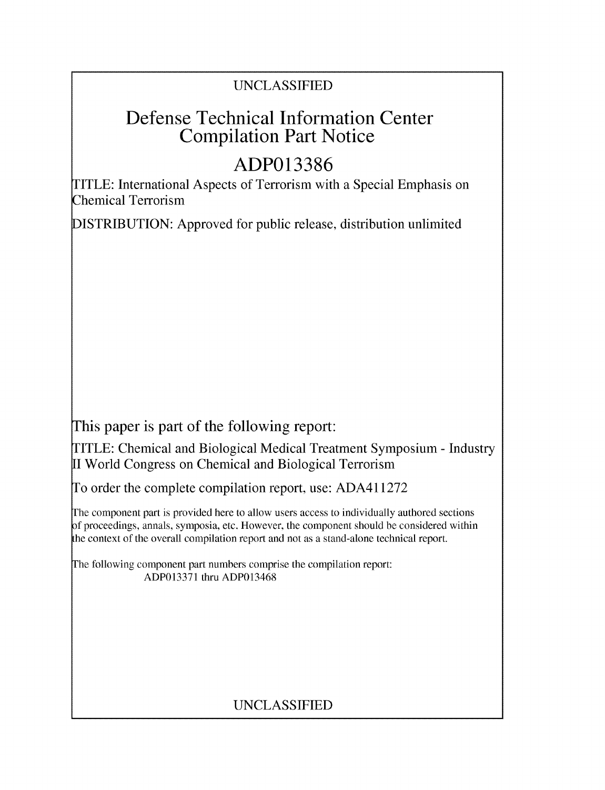### UNCLASSIFIED

## Defense Technical Information Center Compilation Part Notice

# **ADP013386**

TITLE: International Aspects of Terrorism with a Special Emphasis on Chemical Terrorism

DISTRIBUTION: Approved for public release, distribution unlimited

This paper is part of the following report:

TITLE: Chemical and Biological Medical Treatment Symposium - Industry II World Congress on Chemical and Biological Terrorism

To order the complete compilation report, use: ADA411272

The component part is provided here to allow users access to individually authored sections f proceedings, annals, symposia, etc. However, the component should be considered within the context of the overall compilation report and not as a stand-alone technical report.

The following component part numbers comprise the compilation report: ADP013371 thru ADP013468

## UNCLASSIFIED